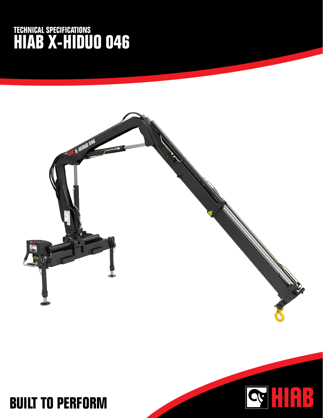## **TECHNICAL SPECIFICATIONS HIAB X-HIDUO 046**



HAB

**CM**